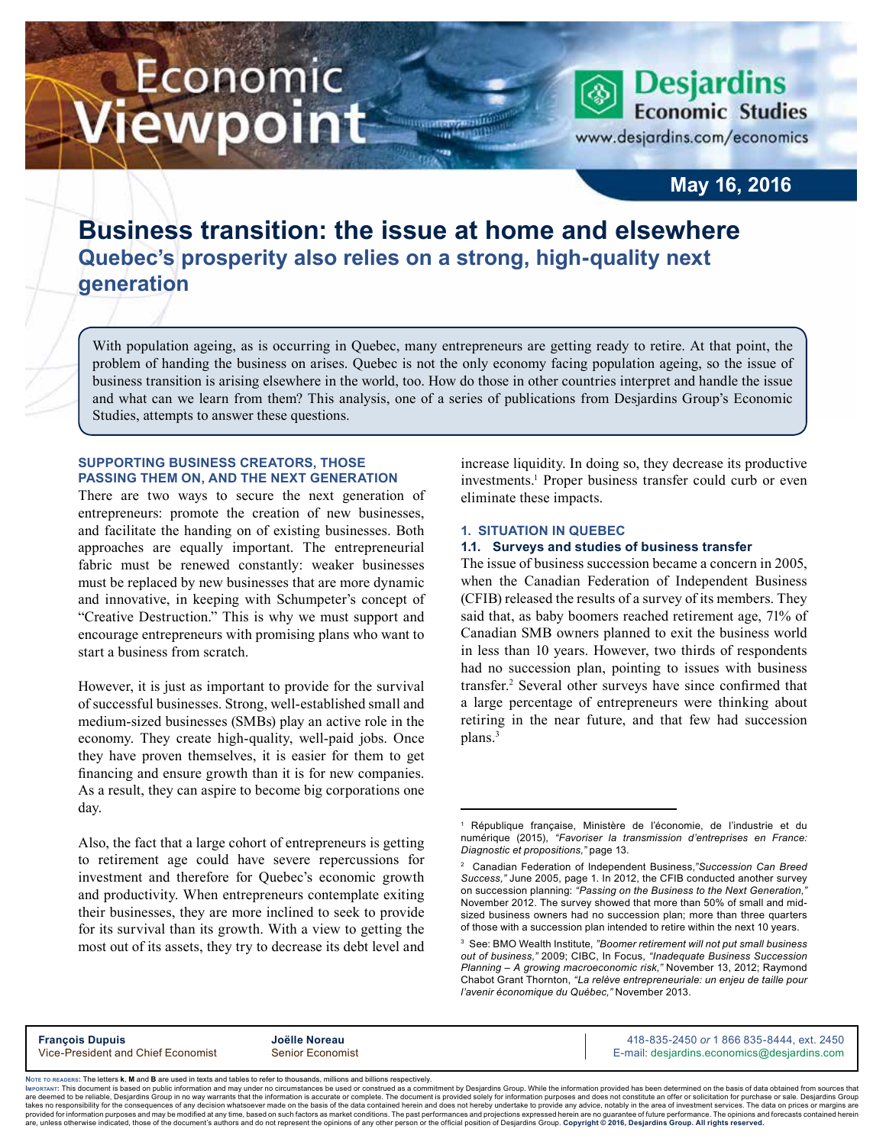# Economic ewpoint

**Economic Studies** www.desjardins.com/economics

**Desjardins** 

# **May 16, 2016**

# **Business transition: the issue at home and elsewhere Quebec's prosperity also relies on a strong, high-quality next generation**

With population ageing, as is occurring in Quebec, many entrepreneurs are getting ready to retire. At that point, the problem of handing the business on arises. Quebec is not the only economy facing population ageing, so the issue of business transition is arising elsewhere in the world, too. How do those in other countries interpret and handle the issue and what can we learn from them? This analysis, one of a series of publications from Desjardins Group's Economic Studies, attempts to answer these questions.

m

## **Supporting business creators, those passing them on, and the next generation**

There are two ways to secure the next generation of entrepreneurs: promote the creation of new businesses, and facilitate the handing on of existing businesses. Both approaches are equally important. The entrepreneurial fabric must be renewed constantly: weaker businesses must be replaced by new businesses that are more dynamic and innovative, in keeping with Schumpeter's concept of "Creative Destruction." This is why we must support and encourage entrepreneurs with promising plans who want to start a business from scratch.

However, it is just as important to provide for the survival of successful businesses. Strong, well-established small and medium-sized businesses (SMBs) play an active role in the economy. They create high-quality, well-paid jobs. Once they have proven themselves, it is easier for them to get financing and ensure growth than it is for new companies. As a result, they can aspire to become big corporations one day.

Also, the fact that a large cohort of entrepreneurs is getting to retirement age could have severe repercussions for investment and therefore for Quebec's economic growth and productivity. When entrepreneurs contemplate exiting their businesses, they are more inclined to seek to provide for its survival than its growth. With a view to getting the most out of its assets, they try to decrease its debt level and

increase liquidity. In doing so, they decrease its productive investments.<sup>1</sup> Proper business transfer could curb or even eliminate these impacts.

#### **1. Situation in Quebec**

#### **1.1. Surveys and studies of business transfer**

The issue of business succession became a concern in 2005, when the Canadian Federation of Independent Business (CFIB) released the results of a survey of its members. They said that, as baby boomers reached retirement age, 71% of Canadian SMB owners planned to exit the business world in less than 10 years. However, two thirds of respondents had no succession plan, pointing to issues with business transfer.<sup>2</sup> Several other surveys have since confirmed that a large percentage of entrepreneurs were thinking about retiring in the near future, and that few had succession plans.<sup>3</sup>

**François Dupuis**<br>
Vice-President and Chief Economist **Senior Economist**<br>
Vice-President and Chief Economist Senior Economist **Alta Senior According Contract Conomics** Communication Comm E-mail: desjardins.economics@desjardins.com

Noте то келоекs: The letters **k, M** and **B** are used in texts and tables to refer to thousands, millions and billions respectively.<br>Імроктлит: This document is based on public information and may under no circumstances be are deemed to be reliable. Desiardins Group in no way warrants that the information is accurate or complete. The document is provided solely for information purposes and does not constitute an offer or solicitation for pur takes no responsibility for the consequences of any decision whatsoever made on the basis of the data contained herein and does not hereby undertake to provide any advice, notably in the area of investment services. The da .<br>are, unless otherwise indicated, those of the document's authors and do not represent the opinions of any other person or the official position of Desjardins Group. Copyright @ 2016, Desjardins Group. All rights reserved

<sup>1</sup> République française, Ministère de l'économie, de l'industrie et du numérique (2015), *"Favoriser la transmission d'entreprises en France: Diagnostic et propositions,"* page 13.

<sup>2</sup> Canadian Federation of Independent Business,*"Succession Can Breed Success,"* June 2005, page 1. In 2012, the CFIB conducted another survey on succession planning: "Passing on the Business to the Next Generation, November 2012. The survey showed that more than 50% of small and midsized business owners had no succession plan; more than three quarters of those with a succession plan intended to retire within the next 10 years.

<sup>3</sup> See: BMO Wealth Institute, *"Boomer retirement will not put small business out of business,"* 2009; CIBC, In Focus, *"Inadequate Business Succession Planning – A growing macroeconomic risk,"* November 13, 2012; Raymond Chabot Grant Thornton, *"La relève entrepreneuriale: un enjeu de taille pour l'avenir économique du Québec,"* November 2013.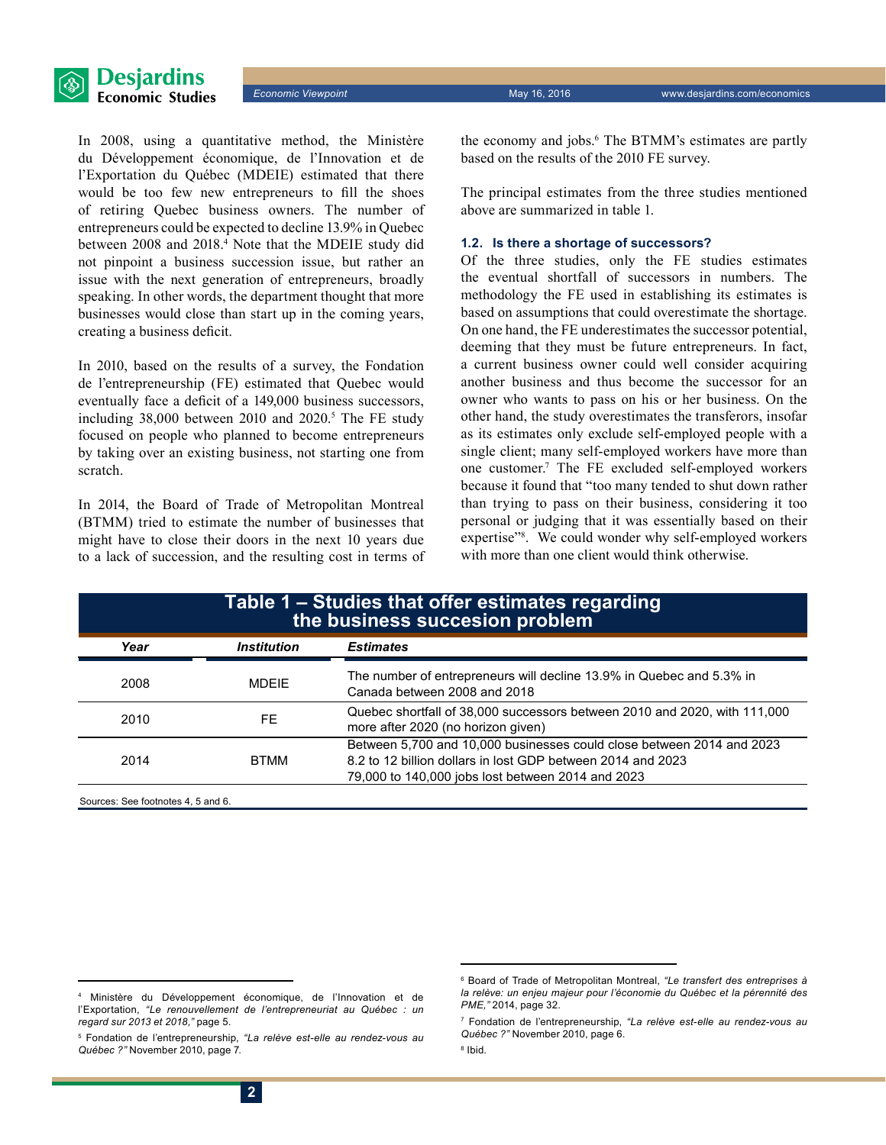

In 2008, using a quantitative method, the Ministère du Développement économique, de l'Innovation et de l'Exportation du Québec (MDEIE) estimated that there would be too few new entrepreneurs to fill the shoes of retiring Quebec business owners. The number of entrepreneurs could be expected to decline 13.9% in Quebec between 2008 and 2018.4 Note that the MDEIE study did not pinpoint a business succession issue, but rather an issue with the next generation of entrepreneurs, broadly speaking. In other words, the department thought that more businesses would close than start up in the coming years, creating a business deficit.

In 2010, based on the results of a survey, the Fondation de l'entrepreneurship (FE) estimated that Quebec would eventually face a deficit of a 149,000 business successors, including  $38,000$  between 2010 and  $2020$ .<sup>5</sup> The FE study focused on people who planned to become entrepreneurs by taking over an existing business, not starting one from scratch.

In 2014, the Board of Trade of Metropolitan Montreal (BTMM) tried to estimate the number of businesses that might have to close their doors in the next 10 years due to a lack of succession, and the resulting cost in terms of

the economy and jobs.6 The BTMM's estimates are partly based on the results of the 2010 FE survey.

The principal estimates from the three studies mentioned above are summarized in table 1.

#### **1.2. Is there a shortage of successors?**

Of the three studies, only the FE studies estimates the eventual shortfall of successors in numbers. The methodology the FE used in establishing its estimates is based on assumptions that could overestimate the shortage. On one hand, the FE underestimates the successor potential, deeming that they must be future entrepreneurs. In fact, a current business owner could well consider acquiring another business and thus become the successor for an owner who wants to pass on his or her business. On the other hand, the study overestimates the transferors, insofar as its estimates only exclude self-employed people with a single client; many self-employed workers have more than one customer.7 The FE excluded self-employed workers because it found that "too many tended to shut down rather than trying to pass on their business, considering it too personal or judging that it was essentially based on their expertise"<sup>8</sup>. We could wonder why self-employed workers with more than one client would think otherwise.

| Table 1 - Studies that offer estimates regarding<br>the business succesion problem |                                                                                                                                                                                           |  |
|------------------------------------------------------------------------------------|-------------------------------------------------------------------------------------------------------------------------------------------------------------------------------------------|--|
| <b>Institution</b>                                                                 | <b>Estimates</b>                                                                                                                                                                          |  |
| <b>MDEIF</b>                                                                       | The number of entrepreneurs will decline 13.9% in Quebec and 5.3% in<br>Canada between 2008 and 2018                                                                                      |  |
| FF.                                                                                | Quebec shortfall of 38,000 successors between 2010 and 2020, with 111,000<br>more after 2020 (no horizon given)                                                                           |  |
| <b>BTMM</b>                                                                        | Between 5,700 and 10,000 businesses could close between 2014 and 2023<br>8.2 to 12 billion dollars in lost GDP between 2014 and 2023<br>79,000 to 140,000 jobs lost between 2014 and 2023 |  |
|                                                                                    |                                                                                                                                                                                           |  |

Sources: See footnotes 4, 5 and 6.

8 Ibid.

<sup>4</sup> Ministère du Développement économique, de l'Innovation et de l'Exportation, *"Le renouvellement de l'entrepreneuriat au Québec : un regard sur 2013 et 2018,"* page 5.

<sup>5</sup> Fondation de l'entrepreneurship, *"La relève est-elle au rendez-vous au Québec ?"* November 2010, page 7.

<sup>6</sup> Board of Trade of Metropolitan Montreal, *"Le transfert des entreprises à la relève: un enjeu majeur pour l'économie du Québec et la pérennité des PME,"* 2014, page 32.

<sup>7</sup> Fondation de l'entrepreneurship, *"La relève est-elle au rendez-vous au Québec ?"* November 2010, page 6.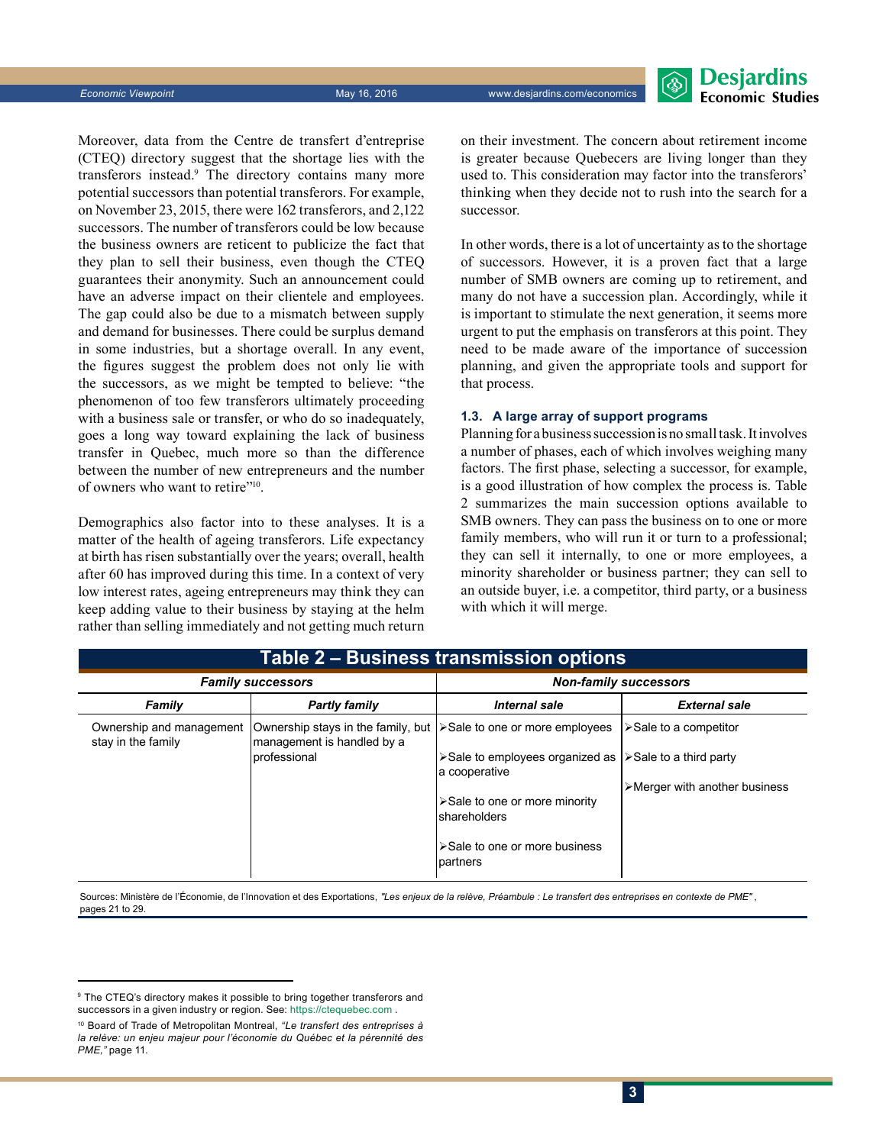**Economic Viewpoint** May 16, 2016 www.desjardins.com/economics



Moreover, data from the Centre de transfert d'entreprise (CTEQ) directory suggest that the shortage lies with the transferors instead.9 The directory contains many more potential successors than potential transferors. For example, on November 23, 2015, there were 162 transferors, and 2,122 successors. The number of transferors could be low because the business owners are reticent to publicize the fact that they plan to sell their business, even though the CTEQ guarantees their anonymity. Such an announcement could have an adverse impact on their clientele and employees. The gap could also be due to a mismatch between supply and demand for businesses. There could be surplus demand in some industries, but a shortage overall. In any event, the figures suggest the problem does not only lie with the successors, as we might be tempted to believe: "the phenomenon of too few transferors ultimately proceeding with a business sale or transfer, or who do so inadequately, goes a long way toward explaining the lack of business transfer in Quebec, much more so than the difference between the number of new entrepreneurs and the number of owners who want to retire"10.

Demographics also factor into to these analyses. It is a matter of the health of ageing transferors. Life expectancy at birth has risen substantially over the years; overall, health after 60 has improved during this time. In a context of very low interest rates, ageing entrepreneurs may think they can keep adding value to their business by staying at the helm rather than selling immediately and not getting much return on their investment. The concern about retirement income is greater because Quebecers are living longer than they used to. This consideration may factor into the transferors' thinking when they decide not to rush into the search for a successor.

In other words, there is a lot of uncertainty as to the shortage of successors. However, it is a proven fact that a large number of SMB owners are coming up to retirement, and many do not have a succession plan. Accordingly, while it is important to stimulate the next generation, it seems more urgent to put the emphasis on transferors at this point. They need to be made aware of the importance of succession planning, and given the appropriate tools and support for that process.

#### **1.3. A large array of support programs**

Planning for a business succession is no small task. It involves a number of phases, each of which involves weighing many factors. The first phase, selecting a successor, for example, is a good illustration of how complex the process is. Table 2 summarizes the main succession options available to SMB owners. They can pass the business on to one or more family members, who will run it or turn to a professional; they can sell it internally, to one or more employees, a minority shareholder or business partner; they can sell to an outside buyer, i.e. a competitor, third party, or a business with which it will merge.

| Table 2 – Business transmission options        |                                                                  |                                                               |                                               |  |
|------------------------------------------------|------------------------------------------------------------------|---------------------------------------------------------------|-----------------------------------------------|--|
| <b>Family successors</b>                       |                                                                  | <b>Non-family successors</b>                                  |                                               |  |
| Family                                         | <b>Partly family</b>                                             | Internal sale                                                 | <b>External sale</b>                          |  |
| Ownership and management<br>stay in the family | Ownership stays in the family, but<br>management is handled by a | ≻Sale to one or more employees                                | $\triangleright$ Sale to a competitor         |  |
|                                                | professional                                                     | ≻Sale to employees organized as<br>a cooperative              | $\triangleright$ Sale to a third party        |  |
|                                                |                                                                  |                                                               | $\triangleright$ Merger with another business |  |
|                                                |                                                                  | $\triangleright$ Sale to one or more minority<br>shareholders |                                               |  |
|                                                |                                                                  | ≻Sale to one or more business<br>partners                     |                                               |  |

Sources: Ministère de l'Économie, de l'Innovation et des Exportations, "Les enjeux de la relève, Préambule : Le transfert des entreprises en contexte de PME", pages 21 to 29.

<sup>9</sup> The CTEQ's directory makes it possible to bring together transferors and successors in a given industry or region. See: https:/[/ctequebec.com](https://ctequebec.com) .

<sup>10</sup> Board of Trade of Metropolitan Montreal, *"Le transfert des entreprises à la relève: un enjeu majeur pour l'économie du Québec et la pérennité des PME,"* page 11.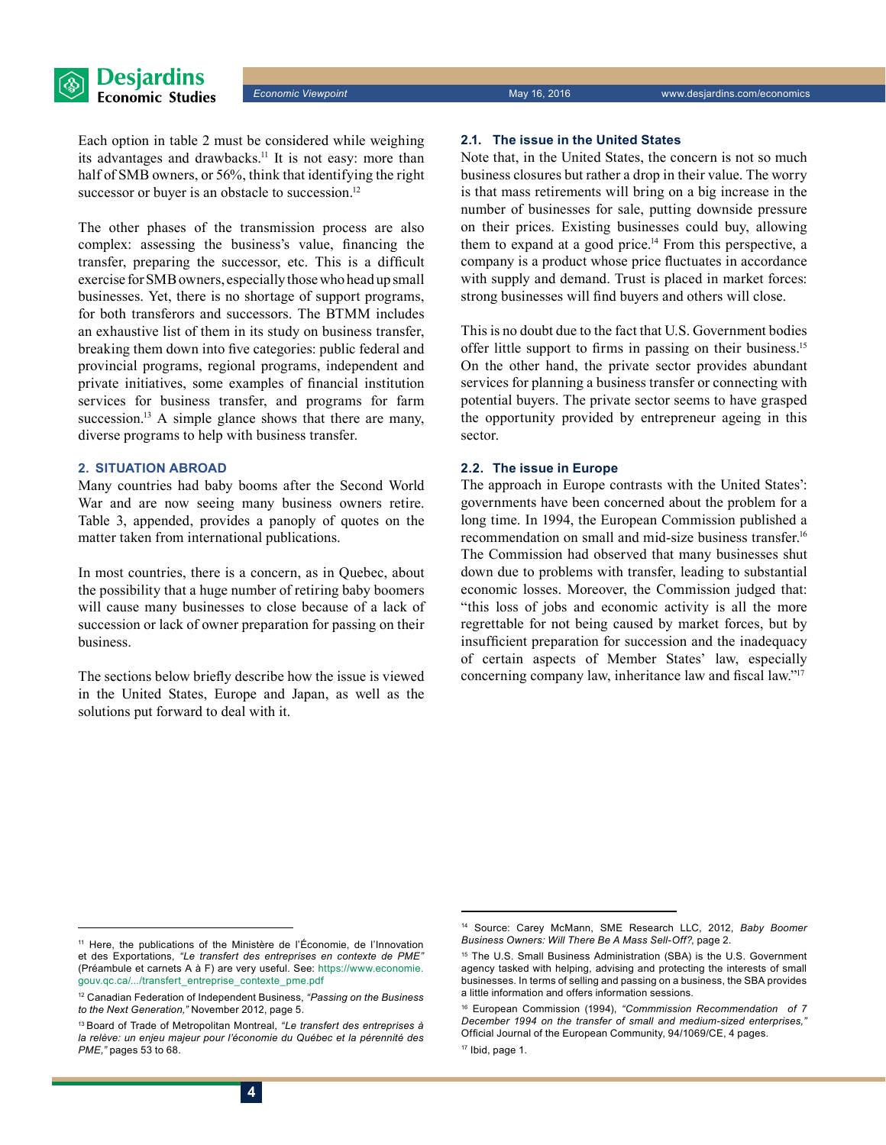Each option in table 2 must be considered while weighing its advantages and drawbacks.<sup>11</sup> It is not easy: more than half of SMB owners, or 56%, think that identifying the right successor or buyer is an obstacle to succession.<sup>12</sup>

The other phases of the transmission process are also complex: assessing the business's value, financing the transfer, preparing the successor, etc. This is a difficult exercise for SMB owners, especially those who head up small businesses. Yet, there is no shortage of support programs, for both transferors and successors. The BTMM includes an exhaustive list of them in its study on business transfer, breaking them down into five categories: public federal and provincial programs, regional programs, independent and private initiatives, some examples of financial institution services for business transfer, and programs for farm succession.<sup>13</sup> A simple glance shows that there are many, diverse programs to help with business transfer.

## **2. Situation abroad**

Many countries had baby booms after the Second World War and are now seeing many business owners retire. Table 3, appended, provides a panoply of quotes on the matter taken from international publications.

In most countries, there is a concern, as in Quebec, about the possibility that a huge number of retiring baby boomers will cause many businesses to close because of a lack of succession or lack of owner preparation for passing on their business.

The sections below briefly describe how the issue is viewed in the United States, Europe and Japan, as well as the solutions put forward to deal with it.

#### **2.1. The issue in the United States**

Note that, in the United States, the concern is not so much business closures but rather a drop in their value. The worry is that mass retirements will bring on a big increase in the number of businesses for sale, putting downside pressure on their prices. Existing businesses could buy, allowing them to expand at a good price.<sup>14</sup> From this perspective, a company is a product whose price fluctuates in accordance with supply and demand. Trust is placed in market forces: strong businesses will find buyers and others will close.

This is no doubt due to the fact that U.S. Government bodies offer little support to firms in passing on their business.<sup>15</sup> On the other hand, the private sector provides abundant services for planning a business transfer or connecting with potential buyers. The private sector seems to have grasped the opportunity provided by entrepreneur ageing in this sector.

#### **2.2. The issue in Europe**

The approach in Europe contrasts with the United States': governments have been concerned about the problem for a long time. In 1994, the European Commission published a recommendation on small and mid-size business transfer.16 The Commission had observed that many businesses shut down due to problems with transfer, leading to substantial economic losses. Moreover, the Commission judged that: "this loss of jobs and economic activity is all the more regrettable for not being caused by market forces, but by insufficient preparation for succession and the inadequacy of certain aspects of Member States' law, especially concerning company law, inheritance law and fiscal law."<sup>17</sup>

<sup>11</sup> Here, the publications of the Ministère de l'Économie, de l'Innovation et des Exportations, *"Le transfert des entreprises en contexte de PME"*  (Préambule et carnets A à F) are very useful. See: https://[www.economie.](http://www.economie.gouv.qc.ca/.../transfert_entreprise_contexte_pme.pdf) [gouv.qc.ca/.../transfert\\_entreprise\\_contexte\\_pme.pdf](http://www.economie.gouv.qc.ca/.../transfert_entreprise_contexte_pme.pdf) 

<sup>12</sup> Canadian Federation of Independent Business, *"Passing on the Business to the Next Generation,"* November 2012, page 5.

<sup>13</sup> Board of Trade of Metropolitan Montreal, *"Le transfert des entreprises à la relève: un enjeu majeur pour l'économie du Québec et la pérennité des PME,"* pages 53 to 68.

<sup>14</sup> Source: Carey McMann, SME Research LLC, 2012, *Baby Boomer Business Owners: Will There Be A Mass Sell-Off?*, page 2.

<sup>&</sup>lt;sup>15</sup> The U.S. Small Business Administration (SBA) is the U.S. Government agency tasked with helping, advising and protecting the interests of small businesses. In terms of selling and passing on a business, the SBA provides a little information and offers information sessions.

<sup>16</sup> European Commission (1994), *"Commmission Recommendation of 7 December 1994 on the transfer of small and medium-sized enterprises,"*  Official Journal of the European Community, 94/1069/CE, 4 pages.

<sup>17</sup> Ibid, page 1.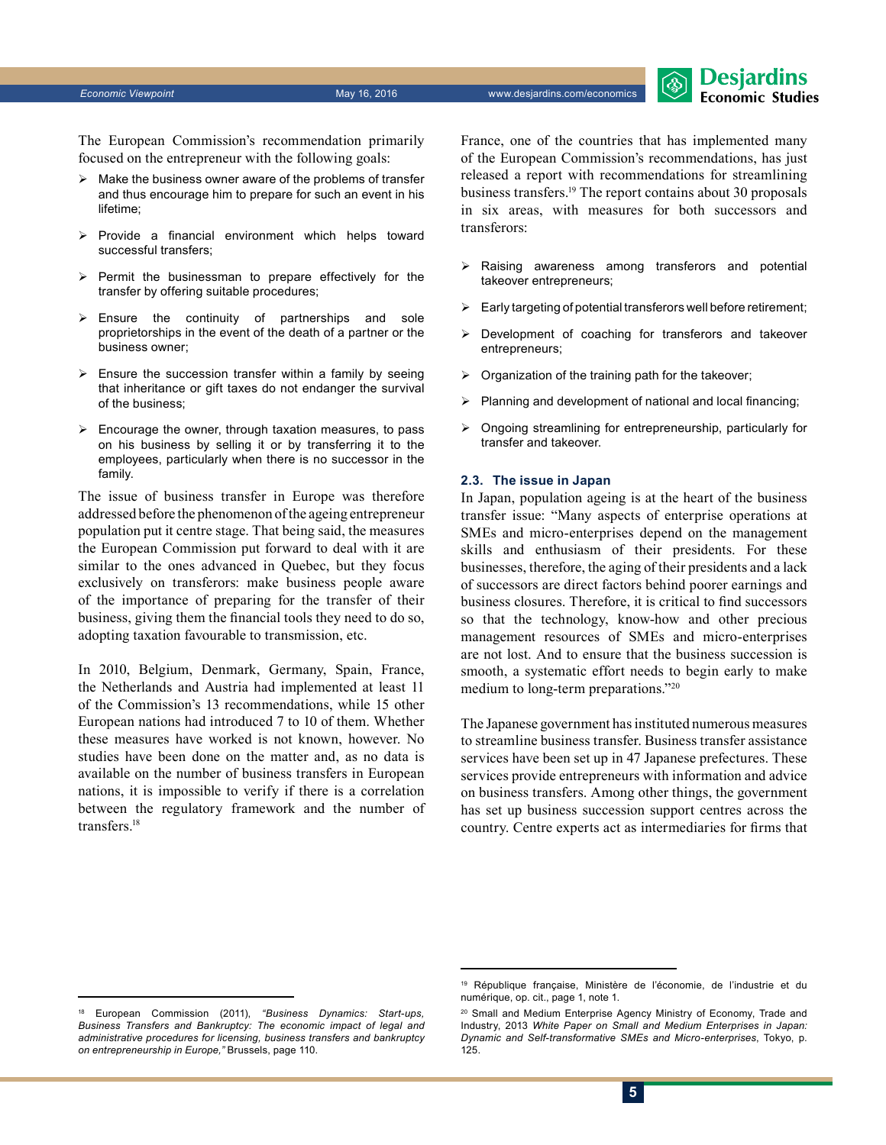*Economic Viewpoint* May 16, 2016 www.desjardins.com/economics

The European Commission's recommendation primarily focused on the entrepreneur with the following goals:

- $\triangleright$  Make the business owner aware of the problems of transfer and thus encourage him to prepare for such an event in his lifetime;
- $\triangleright$  Provide a financial environment which helps toward successful transfers;
- $\triangleright$  Permit the businessman to prepare effectively for the transfer by offering suitable procedures;
- $\triangleright$  Ensure the continuity of partnerships and sole proprietorships in the event of the death of a partner or the business owner;
- $\triangleright$  Ensure the succession transfer within a family by seeing that inheritance or gift taxes do not endanger the survival of the business;
- $\triangleright$  Encourage the owner, through taxation measures, to pass on his business by selling it or by transferring it to the employees, particularly when there is no successor in the family.

The issue of business transfer in Europe was therefore addressed before the phenomenon of the ageing entrepreneur population put it centre stage. That being said, the measures the European Commission put forward to deal with it are similar to the ones advanced in Quebec, but they focus exclusively on transferors: make business people aware of the importance of preparing for the transfer of their business, giving them the financial tools they need to do so, adopting taxation favourable to transmission, etc.

In 2010, Belgium, Denmark, Germany, Spain, France, the Netherlands and Austria had implemented at least 11 of the Commission's 13 recommendations, while 15 other European nations had introduced 7 to 10 of them. Whether these measures have worked is not known, however. No studies have been done on the matter and, as no data is available on the number of business transfers in European nations, it is impossible to verify if there is a correlation between the regulatory framework and the number of transfers<sup>18</sup>

France, one of the countries that has implemented many of the European Commission's recommendations, has just released a report with recommendations for streamlining business transfers.19 The report contains about 30 proposals in six areas, with measures for both successors and transferors:

**Desjardins Economic Studies** 

- Raising awareness among transferors and potential takeover entrepreneurs;
- $\triangleright$  Early targeting of potential transferors well before retirement;
- ¾ Development of coaching for transferors and takeover entrepreneurs;
- $\triangleright$  Organization of the training path for the takeover;
- $\triangleright$  Planning and development of national and local financing;
- $\triangleright$  Ongoing streamlining for entrepreneurship, particularly for transfer and takeover.

#### **2.3. The issue in Japan**

In Japan, population ageing is at the heart of the business transfer issue: "Many aspects of enterprise operations at SMEs and micro-enterprises depend on the management skills and enthusiasm of their presidents. For these businesses, therefore, the aging of their presidents and a lack of successors are direct factors behind poorer earnings and business closures. Therefore, it is critical to find successors so that the technology, know-how and other precious management resources of SMEs and micro-enterprises are not lost. And to ensure that the business succession is smooth, a systematic effort needs to begin early to make medium to long-term preparations."20

The Japanese government has instituted numerous measures to streamline business transfer. Business transfer assistance services have been set up in 47 Japanese prefectures. These services provide entrepreneurs with information and advice on business transfers. Among other things, the government has set up business succession support centres across the country. Centre experts act as intermediaries for firms that

<sup>19</sup> République française, Ministère de l'économie, de l'industrie et du numérique, op. cit., page 1, note 1.

<sup>18</sup> European Commission (2011), *"Business Dynamics: Start-ups, Business Transfers and Bankruptcy: The economic impact of legal and administrative procedures for licensing, business transfers and bankruptcy on entrepreneurship in Europe,"* Brussels, page 110.

<sup>&</sup>lt;sup>20</sup> Small and Medium Enterprise Agency Ministry of Economy, Trade and Industry, 2013 *White Paper on Small and Medium Enterprises in Japan: Dynamic and Self-transformative SMEs and Micro-enterprises*, Tokyo, p. 125.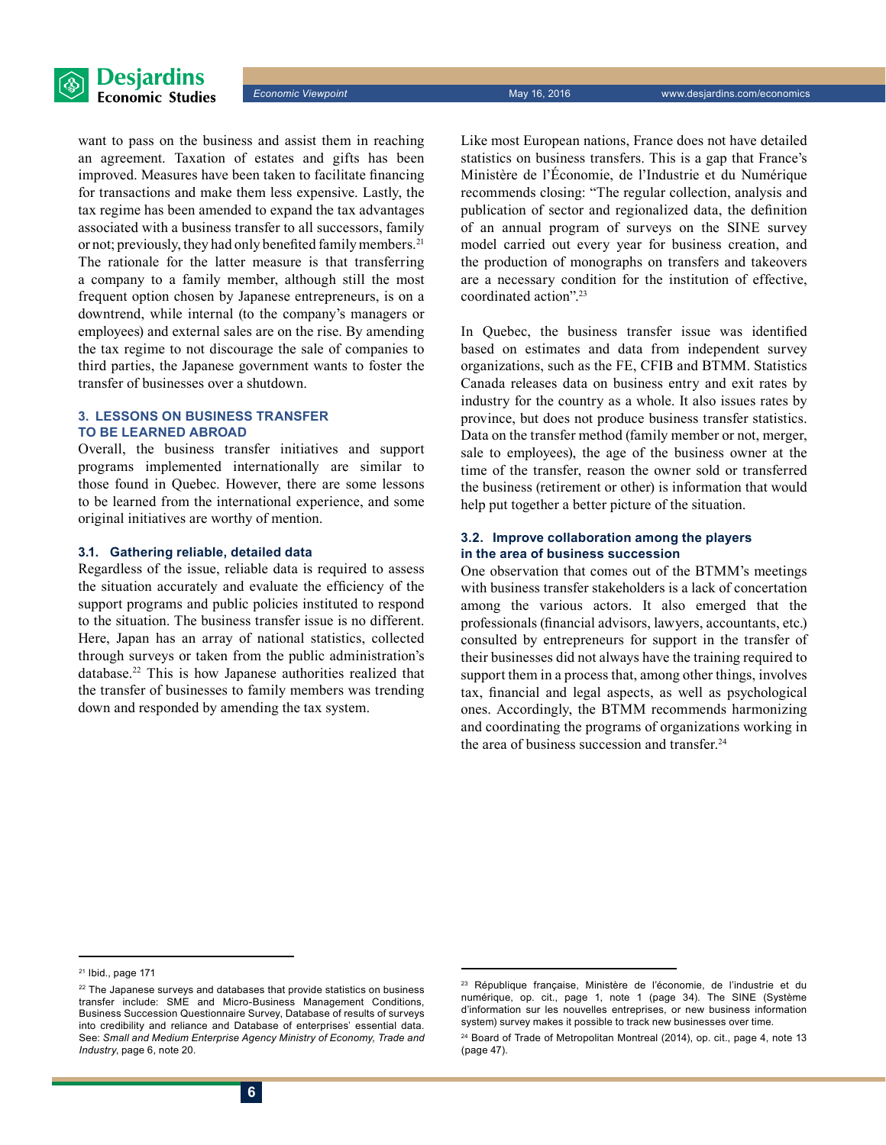



want to pass on the business and assist them in reaching an agreement. Taxation of estates and gifts has been improved. Measures have been taken to facilitate financing for transactions and make them less expensive. Lastly, the tax regime has been amended to expand the tax advantages associated with a business transfer to all successors, family or not; previously, they had only benefited family members.<sup>21</sup> The rationale for the latter measure is that transferring a company to a family member, although still the most frequent option chosen by Japanese entrepreneurs, is on a downtrend, while internal (to the company's managers or employees) and external sales are on the rise. By amending the tax regime to not discourage the sale of companies to third parties, the Japanese government wants to foster the transfer of businesses over a shutdown.

## **3. Lessons on business transfer to be learned abroad**

Overall, the business transfer initiatives and support programs implemented internationally are similar to those found in Quebec. However, there are some lessons to be learned from the international experience, and some original initiatives are worthy of mention.

#### **3.1. Gathering reliable, detailed data**

Regardless of the issue, reliable data is required to assess the situation accurately and evaluate the efficiency of the support programs and public policies instituted to respond to the situation. The business transfer issue is no different. Here, Japan has an array of national statistics, collected through surveys or taken from the public administration's database.22 This is how Japanese authorities realized that the transfer of businesses to family members was trending down and responded by amending the tax system.

Like most European nations, France does not have detailed statistics on business transfers. This is a gap that France's Ministère de l'Économie, de l'Industrie et du Numérique recommends closing: "The regular collection, analysis and publication of sector and regionalized data, the definition of an annual program of surveys on the SINE survey model carried out every year for business creation, and the production of monographs on transfers and takeovers are a necessary condition for the institution of effective, coordinated action".23

In Quebec, the business transfer issue was identified based on estimates and data from independent survey organizations, such as the FE, CFIB and BTMM. Statistics Canada releases data on business entry and exit rates by industry for the country as a whole. It also issues rates by province, but does not produce business transfer statistics. Data on the transfer method (family member or not, merger, sale to employees), the age of the business owner at the time of the transfer, reason the owner sold or transferred the business (retirement or other) is information that would help put together a better picture of the situation.

### **3.2. Improve collaboration among the players in the area of business succession**

One observation that comes out of the BTMM's meetings with business transfer stakeholders is a lack of concertation among the various actors. It also emerged that the professionals (financial advisors, lawyers, accountants, etc.) consulted by entrepreneurs for support in the transfer of their businesses did not always have the training required to support them in a process that, among other things, involves tax, financial and legal aspects, as well as psychological ones. Accordingly, the BTMM recommends harmonizing and coordinating the programs of organizations working in the area of business succession and transfer. $24$ 

 $21$  Ibid., page 171

<sup>&</sup>lt;sup>22</sup> The Japanese surveys and databases that provide statistics on business transfer include: SME and Micro-Business Management Conditions, Business Succession Questionnaire Survey, Database of results of surveys into credibility and reliance and Database of enterprises' essential data. See: *Small and Medium Enterprise Agency Ministry of Economy, Trade and Industry*, page 6, note 20.

<sup>23</sup> République française, Ministère de l'économie, de l'industrie et du numérique, op. cit., page 1, note 1 (page 34). The SINE (Système d'information sur les nouvelles entreprises, or new business information system) survey makes it possible to track new businesses over time.

<sup>&</sup>lt;sup>24</sup> Board of Trade of Metropolitan Montreal (2014), op. cit., page 4, note 13 (page 47).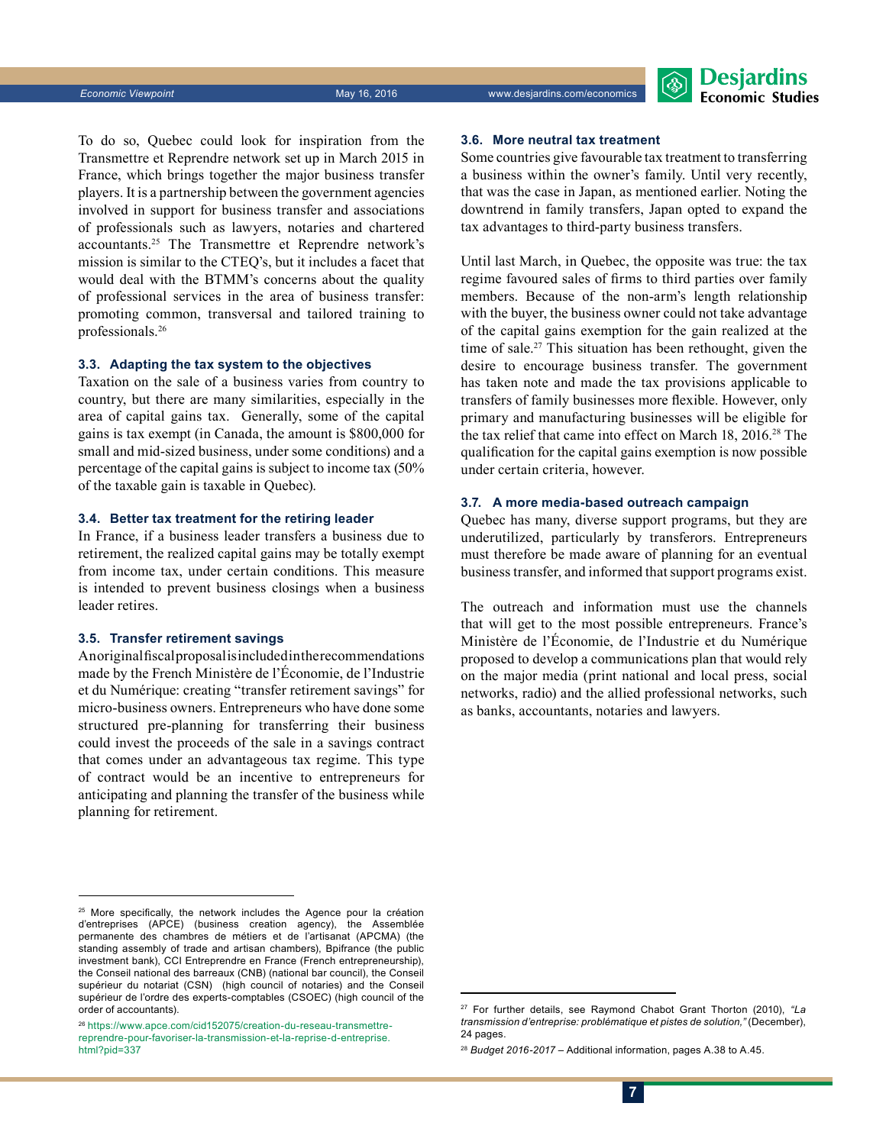To do so, Quebec could look for inspiration from the Transmettre et Reprendre network set up in March 2015 in France, which brings together the major business transfer players. It is a partnership between the government agencies involved in support for business transfer and associations of professionals such as lawyers, notaries and chartered accountants.25 The Transmettre et Reprendre network's mission is similar to the CTEQ's, but it includes a facet that would deal with the BTMM's concerns about the quality of professional services in the area of business transfer: promoting common, transversal and tailored training to professionals.26

### **3.3. Adapting the tax system to the objectives**

Taxation on the sale of a business varies from country to country, but there are many similarities, especially in the area of capital gains tax. Generally, some of the capital gains is tax exempt (in Canada, the amount is \$800,000 for small and mid-sized business, under some conditions) and a percentage of the capital gains is subject to income tax (50% of the taxable gain is taxable in Quebec).

#### **3.4. Better tax treatment for the retiring leader**

In France, if a business leader transfers a business due to retirement, the realized capital gains may be totally exempt from income tax, under certain conditions. This measure is intended to prevent business closings when a business leader retires.

#### **3.5. Transfer retirement savings**

An original fiscal proposal is included in the recommendations made by the French Ministère de l'Économie, de l'Industrie et du Numérique: creating "transfer retirement savings" for micro-business owners. Entrepreneurs who have done some structured pre-planning for transferring their business could invest the proceeds of the sale in a savings contract that comes under an advantageous tax regime. This type of contract would be an incentive to entrepreneurs for anticipating and planning the transfer of the business while planning for retirement.

## **3.6. More neutral tax treatment**

Some countries give favourable tax treatment to transferring a business within the owner's family. Until very recently, that was the case in Japan, as mentioned earlier. Noting the downtrend in family transfers, Japan opted to expand the tax advantages to third-party business transfers.

Until last March, in Quebec, the opposite was true: the tax regime favoured sales of firms to third parties over family members. Because of the non-arm's length relationship with the buyer, the business owner could not take advantage of the capital gains exemption for the gain realized at the time of sale.<sup>27</sup> This situation has been rethought, given the desire to encourage business transfer. The government has taken note and made the tax provisions applicable to transfers of family businesses more flexible. However, only primary and manufacturing businesses will be eligible for the tax relief that came into effect on March 18, 2016.28 The qualification for the capital gains exemption is now possible under certain criteria, however.

#### **3.7. A more media-based outreach campaign**

Quebec has many, diverse support programs, but they are underutilized, particularly by transferors. Entrepreneurs must therefore be made aware of planning for an eventual business transfer, and informed that support programs exist.

The outreach and information must use the channels that will get to the most possible entrepreneurs. France's Ministère de l'Économie, de l'Industrie et du Numérique proposed to develop a communications plan that would rely on the major media (print national and local press, social networks, radio) and the allied professional networks, such as banks, accountants, notaries and lawyers.

26   https://[www.apce.com/cid152075/creation-du-reseau-transmettre](http://www.apce.com/cid152075/creation-du-reseau-transmettre-reprendre-pour-favoriser-la-transmission-et-la-reprise-d-entreprise.html?pid=337)[reprendre-pour-favoriser-la-transmission-et-la-reprise-d-entreprise.](http://www.apce.com/cid152075/creation-du-reseau-transmettre-reprendre-pour-favoriser-la-transmission-et-la-reprise-d-entreprise.html?pid=337) [html?pid=337](http://www.apce.com/cid152075/creation-du-reseau-transmettre-reprendre-pour-favoriser-la-transmission-et-la-reprise-d-entreprise.html?pid=337)

<sup>&</sup>lt;sup>25</sup> More specifically, the network includes the Agence pour la création d'entreprises (APCE) (business creation agency), the Assemblée permanente des chambres de métiers et de l'artisanat (APCMA) (the standing assembly of trade and artisan chambers), Bpifrance (the public investment bank), CCI Entreprendre en France (French entrepreneurship), the Conseil national des barreaux (CNB) (national bar council), the Conseil supérieur du notariat (CSN) (high council of notaries) and the Conseil supérieur de l'ordre des experts-comptables (CSOEC) (high council of the order of accountants).

<sup>27</sup> For further details, see Raymond Chabot Grant Thorton (2010), *"La transmission d'entreprise: problématique et pistes de solution,"* (December), 24 pages.

<sup>28</sup> *Budget 2016-2017* – Additional information, pages A.38 to A.45.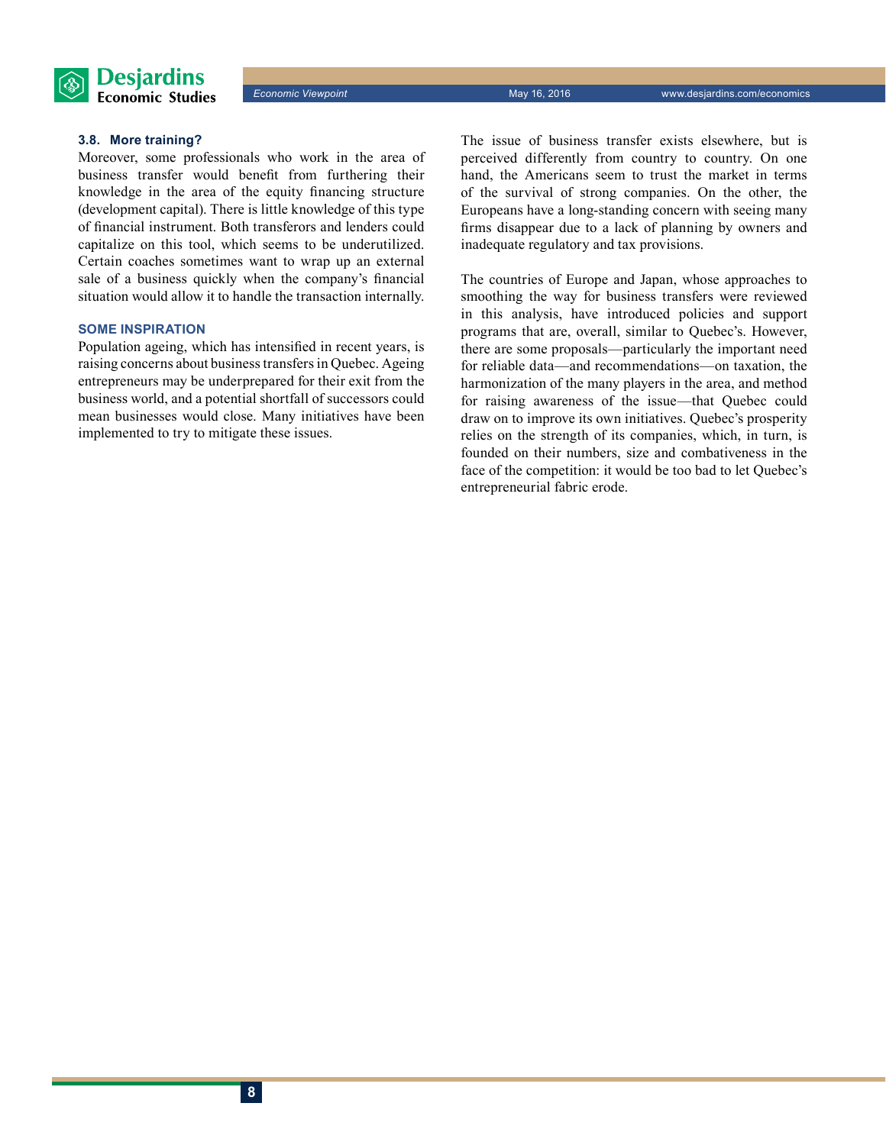

#### **3.8. More training?**

Moreover, some professionals who work in the area of business transfer would benefit from furthering their knowledge in the area of the equity financing structure (development capital). There is little knowledge of this type of financial instrument. Both transferors and lenders could capitalize on this tool, which seems to be underutilized. Certain coaches sometimes want to wrap up an external sale of a business quickly when the company's financial situation would allow it to handle the transaction internally.

## **Some inspiration**

Population ageing, which has intensified in recent years, is raising concerns about business transfers in Quebec. Ageing entrepreneurs may be underprepared for their exit from the business world, and a potential shortfall of successors could mean businesses would close. Many initiatives have been implemented to try to mitigate these issues.

The issue of business transfer exists elsewhere, but is perceived differently from country to country. On one hand, the Americans seem to trust the market in terms of the survival of strong companies. On the other, the Europeans have a long-standing concern with seeing many firms disappear due to a lack of planning by owners and inadequate regulatory and tax provisions.

The countries of Europe and Japan, whose approaches to smoothing the way for business transfers were reviewed in this analysis, have introduced policies and support programs that are, overall, similar to Quebec's. However, there are some proposals—particularly the important need for reliable data—and recommendations—on taxation, the harmonization of the many players in the area, and method for raising awareness of the issue—that Quebec could draw on to improve its own initiatives. Quebec's prosperity relies on the strength of its companies, which, in turn, is founded on their numbers, size and combativeness in the face of the competition: it would be too bad to let Quebec's entrepreneurial fabric erode.